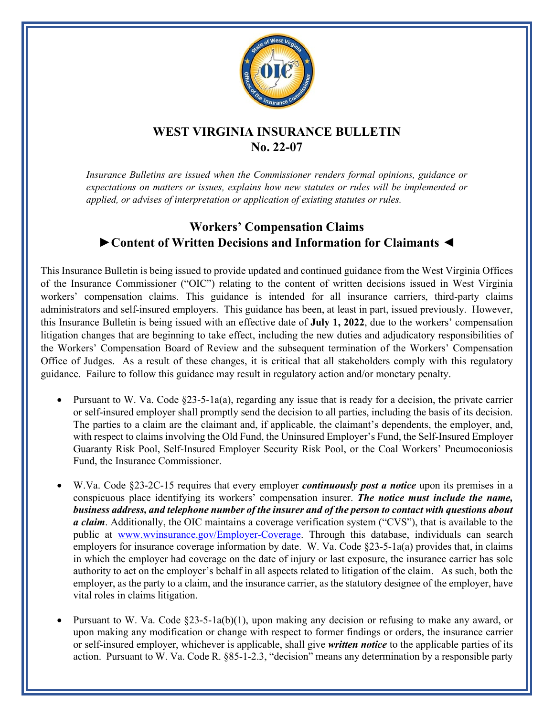

## **WEST VIRGINIA INSURANCE BULLETIN No. 22-07**

*Insurance Bulletins are issued when the Commissioner renders formal opinions, guidance or expectations on matters or issues, explains how new statutes or rules will be implemented or applied, or advises of interpretation or application of existing statutes or rules.*

## **Workers' Compensation Claims ►Content of Written Decisions and Information for Claimants ◄**

This Insurance Bulletin is being issued to provide updated and continued guidance from the West Virginia Offices of the Insurance Commissioner ("OIC") relating to the content of written decisions issued in West Virginia workers' compensation claims. This guidance is intended for all insurance carriers, third-party claims administrators and self-insured employers. This guidance has been, at least in part, issued previously. However, this Insurance Bulletin is being issued with an effective date of **July 1, 2022**, due to the workers' compensation litigation changes that are beginning to take effect, including the new duties and adjudicatory responsibilities of the Workers' Compensation Board of Review and the subsequent termination of the Workers' Compensation Office of Judges. As a result of these changes, it is critical that all stakeholders comply with this regulatory guidance. Failure to follow this guidance may result in regulatory action and/or monetary penalty.

- Pursuant to W. Va. Code §23-5-1a(a), regarding any issue that is ready for a decision, the private carrier or self-insured employer shall promptly send the decision to all parties, including the basis of its decision. The parties to a claim are the claimant and, if applicable, the claimant's dependents, the employer, and, with respect to claims involving the Old Fund, the Uninsured Employer's Fund, the Self-Insured Employer Guaranty Risk Pool, Self-Insured Employer Security Risk Pool, or the Coal Workers' Pneumoconiosis Fund, the Insurance Commissioner.
- W.Va. Code §23-2C-15 requires that every employer *continuously post a notice* upon its premises in a conspicuous place identifying its workers' compensation insurer. *The notice must include the name, business address, and telephone number of the insurer and of the person to contact with questions about a claim*. Additionally, the OIC maintains a coverage verification system ("CVS"), that is available to the public at [www.wvinsurance.gov/Employer-Coverage.](http://www.wvinsurance.gov/Employer-Coverage) Through this database, individuals can search employers for insurance coverage information by date. W. Va. Code  $\S23-5-1a(a)$  provides that, in claims in which the employer had coverage on the date of injury or last exposure, the insurance carrier has sole authority to act on the employer's behalf in all aspects related to litigation of the claim. As such, both the employer, as the party to a claim, and the insurance carrier, as the statutory designee of the employer, have vital roles in claims litigation.
- Pursuant to W. Va. Code  $\S23-5-1a(b)(1)$ , upon making any decision or refusing to make any award, or upon making any modification or change with respect to former findings or orders, the insurance carrier or self-insured employer, whichever is applicable, shall give *written notice* to the applicable parties of its action. Pursuant to W. Va. Code R. §85-1-2.3, "decision" means any determination by a responsible party